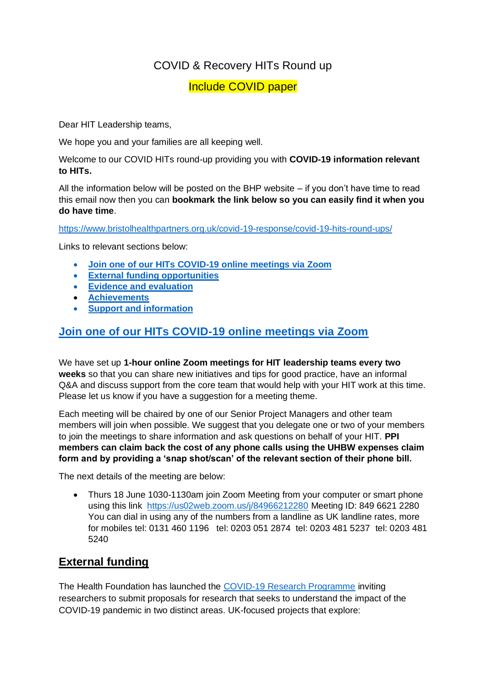# COVID & Recovery HITs Round up

## Include COVID paper

Dear HIT Leadership teams,

We hope you and your families are all keeping well.

Welcome to our COVID HITs round-up providing you with **COVID-19 information relevant to HITs.**

All the information below will be posted on the BHP website – if you don't have time to read this email now then you can **bookmark the link below so you can easily find it when you do have time**.

<https://www.bristolhealthpartners.org.uk/covid-19-response/covid-19-hits-round-ups/>

Links to relevant sections below:

- **Join one of our HITs COVID-19 online meetings via Zoom**
- **[External funding opportunities](#page-0-0)**
- **[Evidence and evaluation](#page-2-0)**
- **[Achievements](#page-2-1)**
- **[Support and information](#page-1-0)**

# **Join one of our HITs COVID-19 online meetings via Zoom**

We have set up **1-hour online Zoom meetings for HIT leadership teams every two weeks** so that you can share new initiatives and tips for good practice, have an informal Q&A and discuss support from the core team that would help with your HIT work at this time. Please let us know if you have a suggestion for a meeting theme.

Each meeting will be chaired by one of our Senior Project Managers and other team members will join when possible. We suggest that you delegate one or two of your members to join the meetings to share information and ask questions on behalf of your HIT. **PPI members can claim back the cost of any phone calls using the UHBW expenses claim form and by providing a 'snap shot/scan' of the relevant section of their phone bill.**

The next details of the meeting are below:

• Thurs 18 June 1030-1130am join Zoom Meeting from your computer or smart phone using this link <https://us02web.zoom.us/j/84966212280> Meeting ID: 849 6621 2280 You can dial in using any of the numbers from a landline as UK landline rates, more for mobiles tel: 0131 460 1196 tel: 0203 051 2874 tel: 0203 481 5237 tel: 0203 481 5240

# <span id="page-0-0"></span>**External funding**

The Health Foundation has launched the [COVID-19 Research Programme](https://www.health.org.uk/funding-and-partnerships/programmes/covid-19-research-programme?utm_campaign=11578451_COVID-19%20Research%20Programme%20launch%20%20June%202020%20%20Stakeholders&utm_medium=email&utm_source=The%20Health%20Foundation&dm_i=4Y2,6W5ZN,VSGZGV,ROPH4,1) inviting researchers to submit proposals for research that seeks to understand the impact of the COVID-19 pandemic in two distinct areas. UK-focused projects that explore: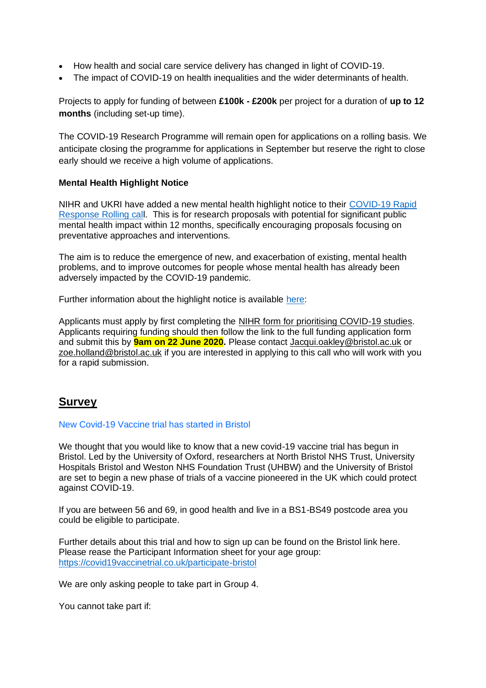- How health and social care service delivery has changed in light of COVID-19.
- The impact of COVID-19 on health inequalities and the wider determinants of health.

Projects to apply for funding of between **£100k - £200k** per project for a duration of **up to 12 months** (including set-up time).

The COVID-19 Research Programme will remain open for applications on a rolling basis. We anticipate closing the programme for applications in September but reserve the right to close early should we receive a high volume of applications.

### **Mental Health Highlight Notice**

NIHR and UKRI have added a new mental health highlight notice to their [COVID-19 Rapid](https://www.nihr.ac.uk/funding/covid-19-rapid-response-rolling-call/24650)  [Response Rolling call.](https://www.nihr.ac.uk/funding/covid-19-rapid-response-rolling-call/24650) This is for research proposals with potential for significant public mental health impact within 12 months, specifically encouraging proposals focusing on preventative approaches and interventions.

The aim is to reduce the emergence of new, and exacerbation of existing, mental health problems, and to improve outcomes for people whose mental health has already been adversely impacted by the COVID-19 pandemic.

Further information about the highlight notice is available [here:](https://www.nihr.ac.uk/documents/highlight-notice-covid-19-and-mental-health/24978)

Applicants must apply by first completing the [NIHR form for prioritising COVID-19 studies.](https://docs.google.com/forms/d/e/1FAIpQLSew7jJiCfwtSPECtoQYLF9QknWZfeWQXDRySkDLnawE4RL39g/viewform) Applicants requiring funding should then follow the link to the full funding application form and submit this by **9am on 22 June 2020.** Please contact [Jacqui.oakley@bristol.ac.uk](mailto:Jacqui.oakley@bristol.ac.uk) or [zoe.holland@bristol.ac.uk](mailto:zoe.holland@bristol.ac.uk) if you are interested in applying to this call who will work with you for a rapid submission.

# <span id="page-1-0"></span>**Survey**

### New Covid-19 Vaccine trial has started in Bristol

We thought that you would like to know that a new covid-19 vaccine trial has begun in Bristol. Led by the University of Oxford, researchers at North Bristol NHS Trust, University Hospitals Bristol and Weston NHS Foundation Trust (UHBW) and the University of Bristol are set to begin a new phase of trials of a vaccine pioneered in the UK which could protect against COVID-19.

If you are between 56 and 69, in good health and live in a BS1-BS49 postcode area you could be eligible to participate.

Further details about this trial and how to sign up can be found on the Bristol link here. Please rease the Participant Information sheet for your age group: <https://covid19vaccinetrial.co.uk/participate-bristol>

We are only asking people to take part in Group 4.

You cannot take part if: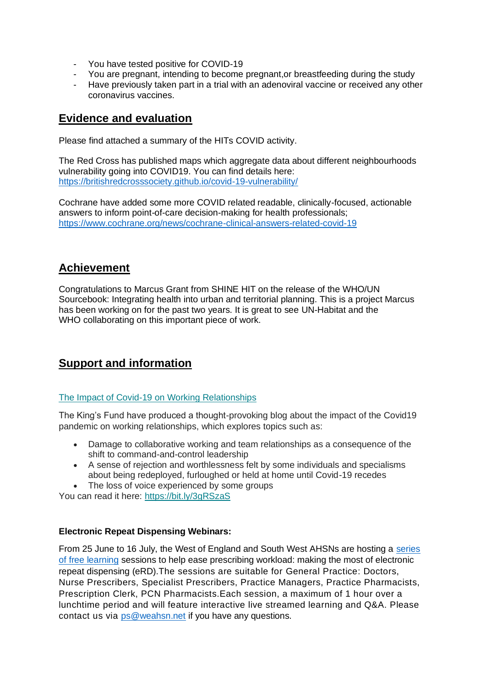- You have tested positive for COVID-19
- You are pregnant, intending to become pregnant, or breastfeeding during the study
- Have previously taken part in a trial with an adenoviral vaccine or received any other coronavirus vaccines.

### <span id="page-2-0"></span>**Evidence and evaluation**

Please find attached a summary of the HITs COVID activity.

The Red Cross has published maps which aggregate data about different neighbourhoods vulnerability going into COVID19. You can find details here: <https://britishredcrosssociety.github.io/covid-19-vulnerability/>

Cochrane have added some more COVID related readable, clinically-focused, actionable answers to inform point-of-care decision-making for health professionals; <https://www.cochrane.org/news/cochrane-clinical-answers-related-covid-19>

# <span id="page-2-1"></span>**Achievement**

Congratulations to Marcus Grant from SHINE HIT on the release of the WHO/UN Sourcebook: Integrating health into urban and territorial planning. This is a project Marcus has been working on for the past two years. It is great to see UN-Habitat and the WHO collaborating on this important piece of work.

# **Support and information**

### [The Impact of Covid-19 on Working Relationships](https://resourceleads.us16.list-manage.com/track/click?u=9c0a7feda8ec8fc4431949867&id=590bfa12ae&e=66b63c4cf4)

The King's Fund have produced a thought-provoking blog about the impact of the Covid19 pandemic on working relationships, which explores topics such as:

- Damage to collaborative working and team relationships as a consequence of the shift to command-and-control leadership
- A sense of rejection and worthlessness felt by some individuals and specialisms about being redeployed, furloughed or held at home until Covid-19 recedes
- The loss of voice experienced by some groups

You can read it here: [https://bit.ly/3gRSzaS](https://resourceleads.us16.list-manage.com/track/click?u=9c0a7feda8ec8fc4431949867&id=13978433cc&e=66b63c4cf4)

### **Electronic Repeat Dispensing Webinars:**

From 25 June to 16 July, the West of England and South West AHSNs are hosting a [series](https://www.eventbrite.co.uk/e/easing-prescribing-workloadmaking-the-most-of-electronic-repeat-dispensing-tickets-107798578450)  [of free learning](https://www.eventbrite.co.uk/e/easing-prescribing-workloadmaking-the-most-of-electronic-repeat-dispensing-tickets-107798578450) sessions to help ease prescribing workload: making the most of electronic repeat dispensing (eRD).The sessions are suitable for General Practice: Doctors, Nurse Prescribers, Specialist Prescribers, Practice Managers, Practice Pharmacists, Prescription Clerk, PCN Pharmacists.Each session, a maximum of 1 hour over a lunchtime period and will feature interactive live streamed learning and Q&A. Please contact us via [ps@weahsn.net](mailto:ps@weahsn.net) if you have any questions.